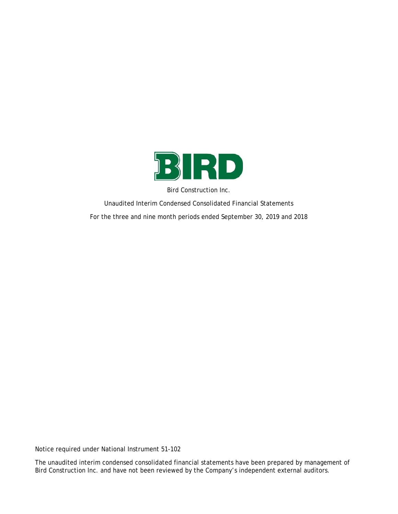

Bird Construction Inc.

Unaudited Interim Condensed Consolidated Financial Statements For the three and nine month periods ended September 30, 2019 and 2018

Notice required under National Instrument 51-102

The unaudited interim condensed consolidated financial statements have been prepared by management of Bird Construction Inc. and have not been reviewed by the Company's independent external auditors.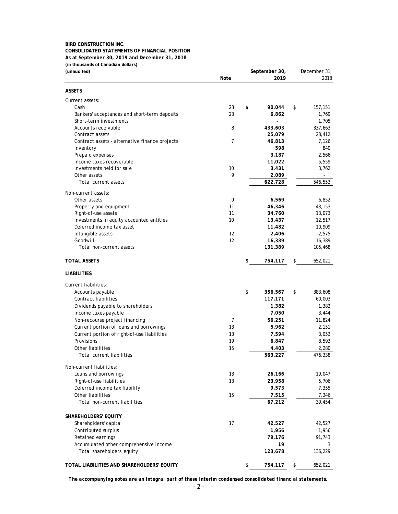## **BIRD CONSTRUCTION INC. CONSOLIDATED STATEMENTS OF FINANCIAL POSITION As at September 30, 2019 and December 31, 2018 (in thousands of Canadian dollars)**

| (unaudited)                                                     |          | September 30,    | December 31,     |  |  |
|-----------------------------------------------------------------|----------|------------------|------------------|--|--|
|                                                                 | Note     | 2019             | 2018             |  |  |
| <b>ASSETS</b>                                                   |          |                  |                  |  |  |
| Current assets:                                                 |          |                  |                  |  |  |
| Cash                                                            | 23       | \$<br>90,044     | \$<br>157,151    |  |  |
| Bankers' acceptances and short-term deposits                    | 23       | 6,862            | 1,769            |  |  |
| Short-term investments                                          |          |                  | 1,705            |  |  |
| Accounts receivable                                             | 8        | 433,603          | 337,663          |  |  |
| Contract assets                                                 |          | 25,079           | 28,412           |  |  |
| Contract assets - alternative finance projects                  | 7        | 46,813           | 7,126            |  |  |
| Inventory                                                       |          | 598              | 840              |  |  |
| Prepaid expenses                                                |          | 3,187            | 2,566            |  |  |
| Income taxes recoverable<br>Investments held for sale           | 10       | 11,022<br>3,431  | 5,559            |  |  |
| Other assets                                                    | 9        | 2,089            | 3,762            |  |  |
| Total current assets                                            |          | 622,728          | 546,553          |  |  |
|                                                                 |          |                  |                  |  |  |
| Non-current assets:                                             |          |                  |                  |  |  |
| Other assets                                                    | 9        | 6,569            | 6,852            |  |  |
| Property and equipment                                          | 11<br>11 | 46,346           | 43,153           |  |  |
| Right-of-use assets<br>Investments in equity accounted entities | 10       | 34,760           | 13,073           |  |  |
| Deferred income tax asset                                       |          | 13,437<br>11,482 | 12,517<br>10,909 |  |  |
| Intangible assets                                               | 12       | 2,406            | 2,575            |  |  |
| Goodwill                                                        | 12       | 16,389           | 16,389           |  |  |
| Total non-current assets                                        |          | 131,389          | 105,468          |  |  |
| <b>TOTAL ASSETS</b>                                             |          | \$<br>754,117    | \$<br>652,021    |  |  |
| <b>LIABILITIES</b>                                              |          |                  |                  |  |  |
| Current liabilities:                                            |          |                  |                  |  |  |
| Accounts payable                                                |          | \$<br>356,567    | \$<br>383,608    |  |  |
| Contract liabilities                                            |          | 117,171          | 60,003           |  |  |
| Dividends payable to shareholders                               |          | 1,382            | 1,382            |  |  |
| Income taxes payable                                            |          | 7,050            | 3,444            |  |  |
| Non-recourse project financing                                  | 7        | 56,251           | 11,824           |  |  |
| Current portion of loans and borrowings                         | 13       | 5,962            | 2,151            |  |  |
| Current portion of right-of-use liabilities                     | 13       | 7,594            | 3,053            |  |  |
| Provisions                                                      | 19       | 6,847            | 8,593            |  |  |
| Other liabilities                                               | 15       | 4,403            | 2,280            |  |  |
| <b>Total current liabilities</b>                                |          | 563,227          | 476,338          |  |  |
| Non-current liabilities:                                        |          |                  |                  |  |  |
| Loans and borrowings                                            | 13       | 26,166           | 19,047           |  |  |
| Right-of-use liabilities                                        | 13       | 23,958           | 5,706            |  |  |
| Deferred income tax liability                                   |          | 9,573            | 7,355            |  |  |
| Other liabilities                                               | 15       | 7,515            | 7,346            |  |  |
| Total non-current liabilities                                   |          | 67,212           | 39,454           |  |  |
| SHAREHOLDERS' EQUITY                                            |          |                  |                  |  |  |
| Shareholders' capital                                           | 17       | 42,527           | 42,527           |  |  |
| Contributed surplus                                             |          | 1,956            | 1,956            |  |  |
| Retained earnings                                               |          | 79,176           | 91,743           |  |  |
| Accumulated other comprehensive income                          |          | 19               | 3                |  |  |
| Total shareholders' equity                                      |          | 123,678          | 136,229          |  |  |
| TOTAL LIABILITIES AND SHAREHOLDERS' EQUITY                      |          | \$<br>754,117    | \$<br>652,021    |  |  |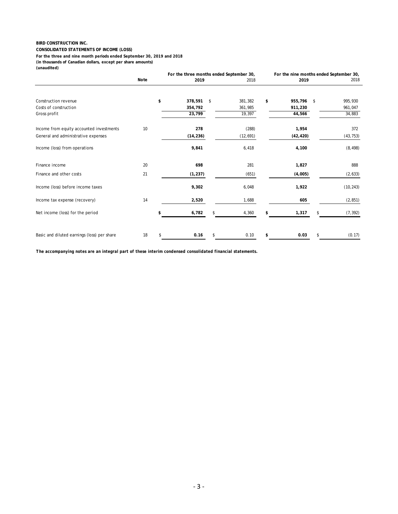#### **CONSOLIDATED STATEMENTS OF INCOME (LOSS)**

**For the three and nine month periods ended September 30, 2019 and 2018**

**(in thousands of Canadian dollars, except per share amounts)**

#### **(unaudited)**

|                                             |      | For the three months ended September 30, |           |    |           |    | For the nine months ended September 30, |    |  |           |
|---------------------------------------------|------|------------------------------------------|-----------|----|-----------|----|-----------------------------------------|----|--|-----------|
|                                             | Note |                                          | 2019      |    | 2018      |    | 2019                                    |    |  | 2018      |
| Construction revenue                        |      | \$                                       | 378,591   | \$ | 381,382   | \$ | 955,796 \$                              |    |  | 995,930   |
| Costs of construction                       |      |                                          | 354,792   |    | 361,985   |    | 911,230                                 |    |  | 961,047   |
| Gross profit                                |      |                                          | 23,799    |    | 19,397    |    | 44,566                                  |    |  | 34,883    |
|                                             |      |                                          |           |    |           |    |                                         |    |  |           |
| Income from equity accounted investments    | 10   |                                          | 278       |    | (288)     |    | 1,954                                   |    |  | 372       |
| General and administrative expenses         |      |                                          | (14, 236) |    | (12, 691) |    | (42, 420)                               |    |  | (43, 753) |
| Income (loss) from operations               |      |                                          | 9,841     |    | 6,418     |    | 4,100                                   |    |  | (8, 498)  |
| Finance income                              | 20   |                                          | 698       |    | 281       |    | 1,827                                   |    |  | 888       |
| Finance and other costs                     | 21   |                                          | (1, 237)  |    | (651)     |    | (4,005)                                 |    |  | (2,633)   |
| Income (loss) before income taxes           |      |                                          | 9,302     |    | 6,048     |    | 1,922                                   |    |  | (10, 243) |
| Income tax expense (recovery)               | 14   |                                          | 2,520     |    | 1,688     |    | 605                                     |    |  | (2, 851)  |
| Net income (loss) for the period            |      | \$                                       | 6,782     | \$ | 4,360     | S  | 1,317                                   | \$ |  | (7, 392)  |
| Basic and diluted earnings (loss) per share | 18   | \$                                       | 0.16      | \$ | 0.10      | \$ | 0.03                                    | \$ |  | (0.17)    |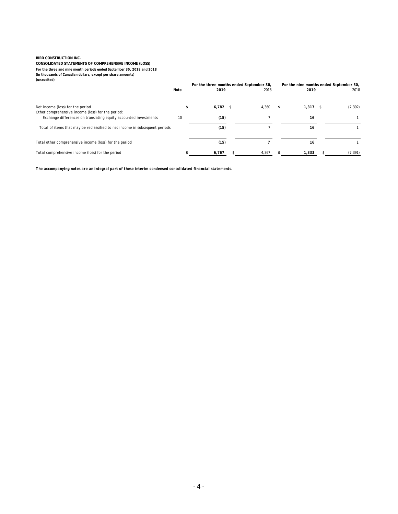**CONSOLIDATED STATEMENTS OF COMPREHENSIVE INCOME (LOSS) For the three and nine month periods ended September 30, 2019 and 2018**

**(in thousands of Canadian dollars, except per share amounts) (unaudited)**

|                                                                             |      | For the three months ended September 30, |  |       | For the nine months ended September 30, |            |  |          |
|-----------------------------------------------------------------------------|------|------------------------------------------|--|-------|-----------------------------------------|------------|--|----------|
|                                                                             | Note | 2019                                     |  | 2018  |                                         | 2019       |  | 2018     |
| Net income (loss) for the period                                            |      | $6,782$ \$                               |  | 4,360 | S                                       | $1,317$ \$ |  | (7, 392) |
| Other comprehensive income (loss) for the period:                           |      |                                          |  |       |                                         |            |  |          |
| Exchange differences on translating equity accounted investments            | 10   | (15)                                     |  |       |                                         | 16         |  |          |
| Total of items that may be reclassified to net income in subsequent periods |      | (15)                                     |  |       |                                         | 16         |  |          |
| Total other comprehensive income (loss) for the period                      |      | (15)                                     |  |       |                                         |            |  |          |
| Total comprehensive income (loss) for the period                            |      | 6,767                                    |  | 4,367 |                                         | 1,333      |  | (7, 391) |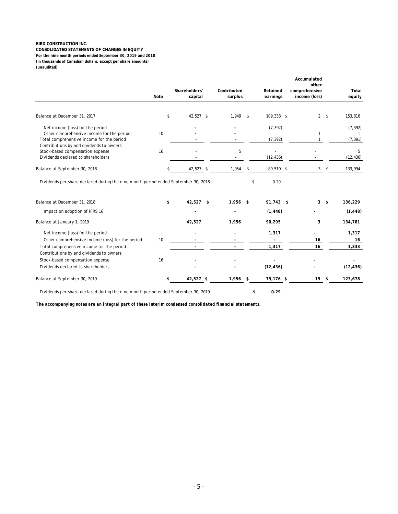**CONSOLIDATED STATEMENTS OF CHANGES IN EQUITY (in thousands of Canadian dollars, except per share amounts) (unaudited) For the nine month periods ended September 30, 2019 and 2018**

|                                                                                    |      | Shareholders' | Contributed |      | Retained                 | Accumulated<br>other<br>comprehensive |     | Total     |
|------------------------------------------------------------------------------------|------|---------------|-------------|------|--------------------------|---------------------------------------|-----|-----------|
|                                                                                    | Note | capital       | surplus     |      | earnings                 | income (loss)                         |     | equity    |
| Balance at December 31, 2017                                                       | \$   | 42,527 \$     | 1,949       | s.   | 109,338 \$               | $\overline{2}$                        | -\$ | 153,816   |
|                                                                                    |      |               |             |      |                          |                                       |     |           |
| Net income (loss) for the period                                                   |      |               |             |      | (7, 392)                 |                                       |     | (7, 392)  |
| Other comprehensive income for the period                                          | 10   |               |             |      | $\overline{\phantom{a}}$ |                                       |     |           |
| Total comprehensive income for the period                                          |      |               |             |      | (7, 392)                 |                                       |     | (7, 391)  |
| Contributions by and dividends to owners                                           |      |               |             |      |                          |                                       |     |           |
| Stock-based compensation expense                                                   | 16   |               | 5           |      |                          |                                       |     | 5         |
| Dividends declared to shareholders                                                 |      |               |             |      | (12, 436)                |                                       |     | (12, 436) |
| Balance at September 30, 2018                                                      | \$   | 42,527 \$     | 1,954       | \$   | 89,510 \$                | $\mathbf{3}$                          | \$  | 133,994   |
| Balance at December 31, 2018                                                       | \$   | 42,527 \$     | 1,956       | - \$ | 91,743 \$                | 3                                     | \$  | 136,229   |
| Impact on adoption of IFRS 16                                                      |      |               |             |      | (1, 448)                 |                                       |     | (1, 448)  |
| Balance at January 1, 2019                                                         |      | 42,527        | 1,956       |      | 90,295                   | 3                                     |     | 134,781   |
| Net income (loss) for the period                                                   |      |               |             |      | 1,317                    |                                       |     | 1,317     |
| Other comprehensive income (loss) for the period                                   | 10   |               |             |      |                          | 16                                    |     | 16        |
| Total comprehensive income for the period                                          |      |               |             |      | 1,317                    | 16                                    |     | 1,333     |
| Contributions by and dividends to owners                                           |      |               |             |      |                          |                                       |     |           |
| Stock-based compensation expense                                                   | 16   |               |             |      |                          |                                       |     |           |
| Dividends declared to shareholders                                                 |      |               |             |      | (12, 436)                |                                       |     | (12, 436) |
| Balance at September 30, 2019                                                      | \$   | 42,527 \$     | $1,956$ \$  |      | 79,176 \$                | 19                                    | \$  | 123,678   |
| Dividends per share declared during the nine month period ended September 30, 2019 |      |               |             | \$   | 0.29                     |                                       |     |           |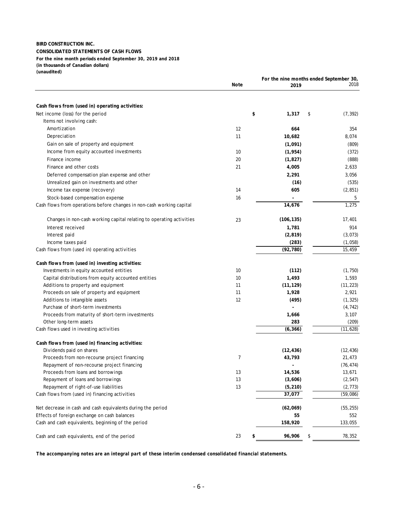#### **BIRD CONSTRUCTION INC. CONSOLIDATED STATEMENTS OF CASH FLOWS (unaudited) For the nine month periods ended September 30, 2019 and 2018 (in thousands of Canadian dollars)**

|                                                                       |      |              | For the nine months ended September 30, |           |
|-----------------------------------------------------------------------|------|--------------|-----------------------------------------|-----------|
|                                                                       | Note | 2019         |                                         | 2018      |
|                                                                       |      |              |                                         |           |
| Cash flows from (used in) operating activities:                       |      |              |                                         |           |
| Net income (loss) for the period                                      |      | \$<br>1,317  | \$                                      | (7, 392)  |
| Items not involving cash:                                             |      |              |                                         |           |
| Amortization                                                          | 12   | 664          |                                         | 354       |
| Depreciation                                                          | 11   | 10,682       |                                         | 8,074     |
| Gain on sale of property and equipment                                |      | (1,091)      |                                         | (809)     |
| Income from equity accounted investments                              | 10   | (1, 954)     |                                         | (372)     |
| Finance income                                                        | 20   | (1, 827)     |                                         | (888)     |
| Finance and other costs                                               | 21   | 4,005        |                                         | 2,633     |
| Deferred compensation plan expense and other                          |      | 2,291        |                                         | 3,056     |
| Unrealized gain on investments and other                              |      | (16)         |                                         | (535)     |
| Income tax expense (recovery)                                         | 14   | 605          |                                         | (2, 851)  |
| Stock-based compensation expense                                      | 16   |              |                                         | 5         |
| Cash flows from operations before changes in non-cash working capital |      | 14,676       |                                         | 1,275     |
| Changes in non-cash working capital relating to operating activities  | 23   | (106, 135)   |                                         | 17,401    |
| Interest received                                                     |      | 1,781        |                                         | 914       |
| Interest paid                                                         |      | (2, 819)     |                                         | (3,073)   |
| Income taxes paid                                                     |      | (283)        |                                         | (1,058)   |
| Cash flows from (used in) operating activities                        |      | (92, 780)    |                                         | 15,459    |
| Cash flows from (used in) investing activities:                       |      |              |                                         |           |
| Investments in equity accounted entities                              | 10   | (112)        |                                         | (1,750)   |
| Capital distributions from equity accounted entities                  | 10   | 1,493        |                                         | 1,593     |
| Additions to property and equipment                                   | 11   | (11, 129)    |                                         | (11, 223) |
| Proceeds on sale of property and equipment                            | 11   | 1,928        |                                         | 2,921     |
| Additions to intangible assets                                        | 12   | (495)        |                                         | (1, 325)  |
| Purchase of short-term investments                                    |      |              |                                         | (4, 742)  |
| Proceeds from maturity of short-term investments                      |      | 1,666        |                                         | 3,107     |
| Other long-term assets                                                |      | 283          |                                         | (209)     |
| Cash flows used in investing activities                               |      | (6, 366)     |                                         | (11, 628) |
| Cash flows from (used in) financing activities:                       |      |              |                                         |           |
| Dividends paid on shares                                              |      | (12, 436)    |                                         | (12, 436) |
| Proceeds from non-recourse project financing                          | 7    | 43,793       |                                         | 21,473    |
| Repayment of non-recourse project financing                           |      |              |                                         | (76, 474) |
| Proceeds from loans and borrowings                                    | 13   | 14,536       |                                         | 13,671    |
| Repayment of loans and borrowings                                     | 13   | (3,606)      |                                         | (2, 547)  |
| Repayment of right-of-use liabilities                                 | 13   | (5, 210)     |                                         | (2, 773)  |
| Cash flows from (used in) financing activities                        |      | 37,077       |                                         | (59,086)  |
| Net decrease in cash and cash equivalents during the period           |      | (62,069)     |                                         | (55, 255) |
| Effects of foreign exchange on cash balances                          |      | 55           |                                         | 552       |
| Cash and cash equivalents, beginning of the period                    |      | 158,920      |                                         | 133,055   |
| Cash and cash equivalents, end of the period                          | 23   | \$<br>96,906 | \$                                      | 78,352    |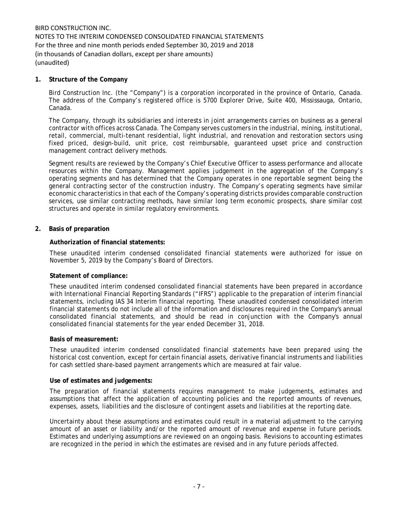## **1. Structure of the Company**

Bird Construction Inc. (the "Company") is a corporation incorporated in the province of Ontario, Canada. The address of the Company's registered office is 5700 Explorer Drive, Suite 400, Mississauga, Ontario, Canada.

The Company, through its subsidiaries and interests in joint arrangements carries on business as a general contractor with offices across Canada. The Company serves customers in the industrial, mining, institutional, retail, commercial, multi-tenant residential, light industrial, and renovation and restoration sectors using fixed priced, design-build, unit price, cost reimbursable, guaranteed upset price and construction management contract delivery methods.

Segment results are reviewed by the Company's Chief Executive Officer to assess performance and allocate resources within the Company. Management applies judgement in the aggregation of the Company's operating segments and has determined that the Company operates in one reportable segment being the general contracting sector of the construction industry. The Company's operating segments have similar economic characteristics in that each of the Company's operating districts provides comparable construction services, use similar contracting methods, have similar long term economic prospects, share similar cost structures and operate in similar regulatory environments.

## **2. Basis of preparation**

## **Authorization of financial statements:**

These unaudited interim condensed consolidated financial statements were authorized for issue on November 5, 2019 by the Company's Board of Directors.

### **Statement of compliance:**

These unaudited interim condensed consolidated financial statements have been prepared in accordance with International Financial Reporting Standards ("IFRS") applicable to the preparation of interim financial statements, including IAS 34 Interim financial reporting. These unaudited condensed consolidated interim financial statements do not include all of the information and disclosures required in the Company's annual consolidated financial statements, and should be read in conjunction with the Company's annual consolidated financial statements for the year ended December 31, 2018.

### **Basis of measurement:**

These unaudited interim condensed consolidated financial statements have been prepared using the historical cost convention, except for certain financial assets, derivative financial instruments and liabilities for cash settled share-based payment arrangements which are measured at fair value.

### **Use of estimates and judgements:**

The preparation of financial statements requires management to make judgements, estimates and assumptions that affect the application of accounting policies and the reported amounts of revenues, expenses, assets, liabilities and the disclosure of contingent assets and liabilities at the reporting date.

Uncertainty about these assumptions and estimates could result in a material adjustment to the carrying amount of an asset or liability and/or the reported amount of revenue and expense in future periods. Estimates and underlying assumptions are reviewed on an ongoing basis. Revisions to accounting estimates are recognized in the period in which the estimates are revised and in any future periods affected.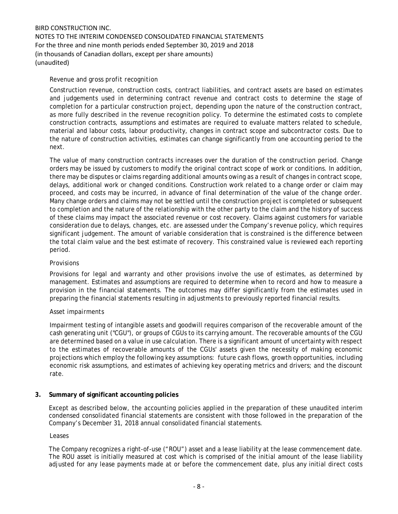## *Revenue and gross profit recognition*

Construction revenue, construction costs, contract liabilities, and contract assets are based on estimates and judgements used in determining contract revenue and contract costs to determine the stage of completion for a particular construction project, depending upon the nature of the construction contract, as more fully described in the revenue recognition policy. To determine the estimated costs to complete construction contracts, assumptions and estimates are required to evaluate matters related to schedule, material and labour costs, labour productivity, changes in contract scope and subcontractor costs. Due to the nature of construction activities, estimates can change significantly from one accounting period to the next.

The value of many construction contracts increases over the duration of the construction period. Change orders may be issued by customers to modify the original contract scope of work or conditions. In addition, there may be disputes or claims regarding additional amounts owing as a result of changes in contract scope, delays, additional work or changed conditions. Construction work related to a change order or claim may proceed, and costs may be incurred, in advance of final determination of the value of the change order. Many change orders and claims may not be settled until the construction project is completed or subsequent to completion and the nature of the relationship with the other party to the claim and the history of success of these claims may impact the associated revenue or cost recovery. Claims against customers for variable consideration due to delays, changes, etc. are assessed under the Company's revenue policy, which requires significant judgement. The amount of variable consideration that is constrained is the difference between the total claim value and the best estimate of recovery. This constrained value is reviewed each reporting period.

## *Provisions*

Provisions for legal and warranty and other provisions involve the use of estimates, as determined by management. Estimates and assumptions are required to determine when to record and how to measure a provision in the financial statements. The outcomes may differ significantly from the estimates used in preparing the financial statements resulting in adjustments to previously reported financial results.

## *Asset impairments*

Impairment testing of intangible assets and goodwill requires comparison of the recoverable amount of the cash generating unit ("CGU"), or groups of CGUs to its carrying amount. The recoverable amounts of the CGU are determined based on a value in use calculation. There is a significant amount of uncertainty with respect to the estimates of recoverable amounts of the CGUs' assets given the necessity of making economic projections which employ the following key assumptions: future cash flows, growth opportunities, including economic risk assumptions, and estimates of achieving key operating metrics and drivers; and the discount rate.

## **3. Summary of significant accounting policies**

Except as described below, the accounting policies applied in the preparation of these unaudited interim condensed consolidated financial statements are consistent with those followed in the preparation of the Company's December 31, 2018 annual consolidated financial statements.

### *Leases*

The Company recognizes a right-of-use ("ROU") asset and a lease liability at the lease commencement date. The ROU asset is initially measured at cost which is comprised of the initial amount of the lease liability adjusted for any lease payments made at or before the commencement date, plus any initial direct costs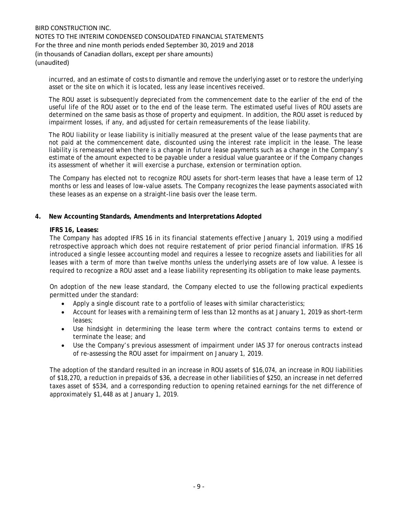incurred, and an estimate of costs to dismantle and remove the underlying asset or to restore the underlying asset or the site on which it is located, less any lease incentives received.

The ROU asset is subsequently depreciated from the commencement date to the earlier of the end of the useful life of the ROU asset or to the end of the lease term. The estimated useful lives of ROU assets are determined on the same basis as those of property and equipment. In addition, the ROU asset is reduced by impairment losses, if any, and adjusted for certain remeasurements of the lease liability.

The ROU liability or lease liability is initially measured at the present value of the lease payments that are not paid at the commencement date, discounted using the interest rate implicit in the lease. The lease liability is remeasured when there is a change in future lease payments such as a change in the Company's estimate of the amount expected to be payable under a residual value guarantee or if the Company changes its assessment of whether it will exercise a purchase, extension or termination option.

The Company has elected not to recognize ROU assets for short-term leases that have a lease term of 12 months or less and leases of low-value assets. The Company recognizes the lease payments associated with these leases as an expense on a straight-line basis over the lease term.

## **4. New Accounting Standards, Amendments and Interpretations Adopted**

### **IFRS 16, Leases:**

The Company has adopted IFRS 16 in its financial statements effective January 1, 2019 using a modified retrospective approach which does not require restatement of prior period financial information. IFRS 16 introduced a single lessee accounting model and requires a lessee to recognize assets and liabilities for all leases with a term of more than twelve months unless the underlying assets are of low value. A lessee is required to recognize a ROU asset and a lease liability representing its obligation to make lease payments.

On adoption of the new lease standard, the Company elected to use the following practical expedients permitted under the standard:

- Apply a single discount rate to a portfolio of leases with similar characteristics;
- Account for leases with a remaining term of less than 12 months as at January 1, 2019 as short-term leases;
- Use hindsight in determining the lease term where the contract contains terms to extend or terminate the lease; and
- Use the Company's previous assessment of impairment under IAS 37 for onerous contracts instead of re-assessing the ROU asset for impairment on January 1, 2019.

The adoption of the standard resulted in an increase in ROU assets of \$16,074, an increase in ROU liabilities of \$18,270, a reduction in prepaids of \$36, a decrease in other liabilities of \$250, an increase in net deferred taxes asset of \$534, and a corresponding reduction to opening retained earnings for the net difference of approximately \$1,448 as at January 1, 2019.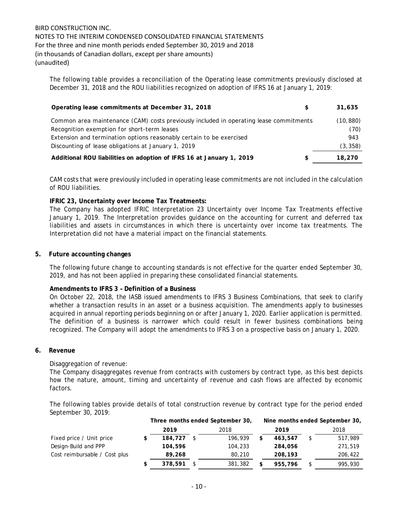The following table provides a reconciliation of the Operating lease commitments previously disclosed at December 31, 2018 and the ROU liabilities recognized on adoption of IFRS 16 at January 1, 2019:

| Operating lease commitments at December 31, 2018                                       | S | 31.635    |
|----------------------------------------------------------------------------------------|---|-----------|
| Common area maintenance (CAM) costs previously included in operating lease commitments |   | (10, 880) |
| Recognition exemption for short-term leases                                            |   | (70)      |
| Extension and termination options reasonably certain to be exercised                   |   | 943       |
| Discounting of lease obligations at January 1, 2019                                    |   | (3, 358)  |
| Additional ROU liabilities on adoption of IFRS 16 at January 1, 2019                   | S | 18.270    |

CAM costs that were previously included in operating lease commitments are not included in the calculation of ROU liabilities.

## **IFRIC 23, Uncertainty over Income Tax Treatments:**

The Company has adopted IFRIC Interpretation 23 Uncertainty over Income Tax Treatments effective January 1, 2019. The Interpretation provides guidance on the accounting for current and deferred tax liabilities and assets in circumstances in which there is uncertainty over income tax treatments. The Interpretation did not have a material impact on the financial statements.

#### **5. Future accounting changes**

The following future change to accounting standards is not effective for the quarter ended September 30, 2019, and has not been applied in preparing these consolidated financial statements.

## **Amendments to IFRS 3 – Definition of a Business**

On October 22, 2018, the IASB issued amendments to IFRS 3 Business Combinations, that seek to clarify whether a transaction results in an asset or a business acquisition. The amendments apply to businesses acquired in annual reporting periods beginning on or after January 1, 2020. Earlier application is permitted. The definition of a business is narrower which could result in fewer business combinations being recognized. The Company will adopt the amendments to IFRS 3 on a prospective basis on January 1, 2020.

#### **6. Revenue**

### Disaggregation of revenue:

The Company disaggregates revenue from contracts with customers by contract type, as this best depicts how the nature, amount, timing and uncertainty of revenue and cash flows are affected by economic factors.

The following tables provide details of total construction revenue by contract type for the period ended September 30, 2019:

|                               | Three months ended September 30, |         |         |    |         | Nine months ended September 30, |  |  |
|-------------------------------|----------------------------------|---------|---------|----|---------|---------------------------------|--|--|
|                               | 2019                             |         | 2018    |    | 2019    | 2018                            |  |  |
| Fixed price / Unit price      | 184,727                          |         | 196,939 | S  | 463.547 | \$<br>517,989                   |  |  |
| Design-Build and PPP          | 104,596                          | 104,233 |         |    | 284,056 | 271,519                         |  |  |
| Cost reimbursable / Cost plus | 89,268                           |         | 80,210  |    | 208,193 | 206,422                         |  |  |
|                               | 378,591                          |         | 381,382 | \$ | 955,796 | 995,930                         |  |  |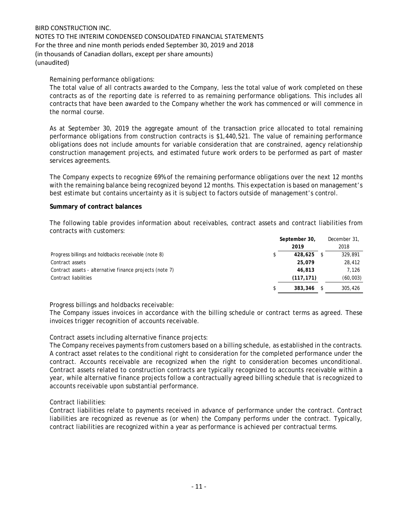## Remaining performance obligations:

The total value of all contracts awarded to the Company, less the total value of work completed on these contracts as of the reporting date is referred to as remaining performance obligations. This includes all contracts that have been awarded to the Company whether the work has commenced or will commence in the normal course.

As at September 30, 2019 the aggregate amount of the transaction price allocated to total remaining performance obligations from construction contracts is \$1,440,521. The value of remaining performance obligations does not include amounts for variable consideration that are constrained, agency relationship construction management projects, and estimated future work orders to be performed as part of master services agreements.

The Company expects to recognize 69% of the remaining performance obligations over the next 12 months with the remaining balance being recognized beyond 12 months. This expectation is based on management's best estimate but contains uncertainty as it is subject to factors outside of management's control.

## **Summary of contract balances**

The following table provides information about receivables, contract assets and contract liabilities from contracts with customers:

|                                                         | September 30, |            | December 31, |  |
|---------------------------------------------------------|---------------|------------|--------------|--|
|                                                         |               | 2019       | 2018         |  |
| Progress billings and holdbacks receivable (note 8)     |               | 428,625    | 329,891      |  |
| Contract assets                                         |               | 25,079     | 28,412       |  |
| Contract assets - alternative finance projects (note 7) |               | 46,813     | 7.126        |  |
| Contract liabilities                                    |               | (117, 171) | (60, 003)    |  |
|                                                         |               | 383,346    | 305,426      |  |

## Progress billings and holdbacks receivable:

The Company issues invoices in accordance with the billing schedule or contract terms as agreed. These invoices trigger recognition of accounts receivable.

## Contract assets including alternative finance projects:

The Company receives payments from customers based on a billing schedule, as established in the contracts. A contract asset relates to the conditional right to consideration for the completed performance under the contract. Accounts receivable are recognized when the right to consideration becomes unconditional. Contract assets related to construction contracts are typically recognized to accounts receivable within a year, while alternative finance projects follow a contractually agreed billing schedule that is recognized to accounts receivable upon substantial performance.

## Contract liabilities:

Contract liabilities relate to payments received in advance of performance under the contract. Contract liabilities are recognized as revenue as (or when) the Company performs under the contract. Typically, contract liabilities are recognized within a year as performance is achieved per contractual terms.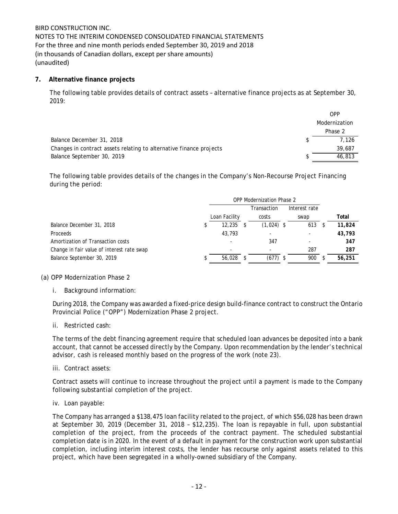## **7. Alternative finance projects**

The following table provides details of contract assets – alternative finance projects as at September 30, 2019:

|                                                                     | OPP           |
|---------------------------------------------------------------------|---------------|
|                                                                     | Modernization |
|                                                                     | Phase 2       |
| Balance December 31, 2018                                           | 7.126         |
| Changes in contract assets relating to alternative finance projects | 39,687        |
| Balance September 30, 2019                                          | 46,813        |

The following table provides details of the changes in the Company's Non-Recourse Project Financing during the period:

|                                            | <b>OPP Modernization Phase 2</b> |               |  |              |  |               |        |
|--------------------------------------------|----------------------------------|---------------|--|--------------|--|---------------|--------|
|                                            |                                  |               |  | Transaction  |  | Interest rate |        |
|                                            |                                  | Loan Facility |  | costs        |  | swap          | Total  |
| Balance December 31, 2018                  |                                  | 12,235        |  | $(1,024)$ \$ |  | 613           | 11,824 |
| Proceeds                                   |                                  | 43,793        |  |              |  |               | 43,793 |
| Amortization of Transaction costs          |                                  |               |  | 347          |  |               | 347    |
| Change in fair value of interest rate swap |                                  |               |  | ٠            |  | 287           | 287    |
| Balance September 30, 2019                 |                                  | 56,028        |  | $(677)$ \$   |  | 900           | 56,251 |

### (a) OPP Modernization Phase 2

i. Background information:

During 2018, the Company was awarded a fixed-price design build-finance contract to construct the Ontario Provincial Police ("OPP") Modernization Phase 2 project.

ii. Restricted cash:

The terms of the debt financing agreement require that scheduled loan advances be deposited into a bank account, that cannot be accessed directly by the Company. Upon recommendation by the lender's technical advisor, cash is released monthly based on the progress of the work (note 23).

iii. Contract assets:

Contract assets will continue to increase throughout the project until a payment is made to the Company following substantial completion of the project.

iv. Loan payable:

The Company has arranged a \$138,475 loan facility related to the project, of which \$56,028 has been drawn at September 30, 2019 (December 31, 2018 – \$12,235). The loan is repayable in full, upon substantial completion of the project, from the proceeds of the contract payment. The scheduled substantial completion date is in 2020. In the event of a default in payment for the construction work upon substantial completion, including interim interest costs, the lender has recourse only against assets related to this project, which have been segregated in a wholly-owned subsidiary of the Company.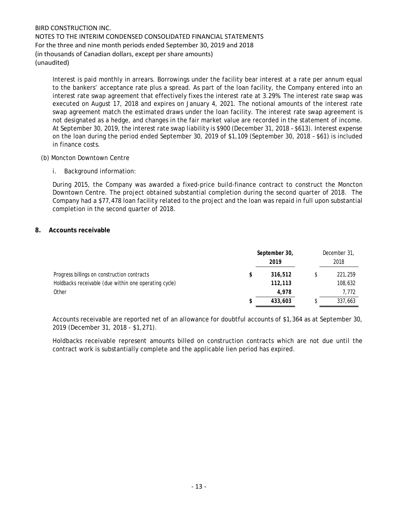Interest is paid monthly in arrears. Borrowings under the facility bear interest at a rate per annum equal to the bankers' acceptance rate plus a spread. As part of the loan facility, the Company entered into an interest rate swap agreement that effectively fixes the interest rate at 3.29%. The interest rate swap was executed on August 17, 2018 and expires on January 4, 2021. The notional amounts of the interest rate swap agreement match the estimated draws under the loan facility. The interest rate swap agreement is not designated as a hedge, and changes in the fair market value are recorded in the statement of income. At September 30, 2019, the interest rate swap liability is \$900 (December 31, 2018 – \$613). Interest expense on the loan during the period ended September 30, 2019 of \$1,109 (September 30, 2018 – \$61) is included in finance costs.

## (b) Moncton Downtown Centre

i. Background information:

During 2015, the Company was awarded a fixed-price build-finance contract to construct the Moncton Downtown Centre. The project obtained substantial completion during the second quarter of 2018. The Company had a \$77,478 loan facility related to the project and the loan was repaid in full upon substantial completion in the second quarter of 2018.

## **8. Accounts receivable**

|                                                       |   | September 30, | December 31, |
|-------------------------------------------------------|---|---------------|--------------|
|                                                       |   | 2019          | 2018         |
| Progress billings on construction contracts           | S | 316,512       | 221,259      |
| Holdbacks receivable (due within one operating cycle) |   | 112,113       | 108,632      |
| Other                                                 |   | 4.978         | 7,772        |
|                                                       |   | 433,603       | 337,663      |

Accounts receivable are reported net of an allowance for doubtful accounts of \$1,364 as at September 30, 2019 (December 31, 2018 - \$1,271).

Holdbacks receivable represent amounts billed on construction contracts which are not due until the contract work is substantially complete and the applicable lien period has expired.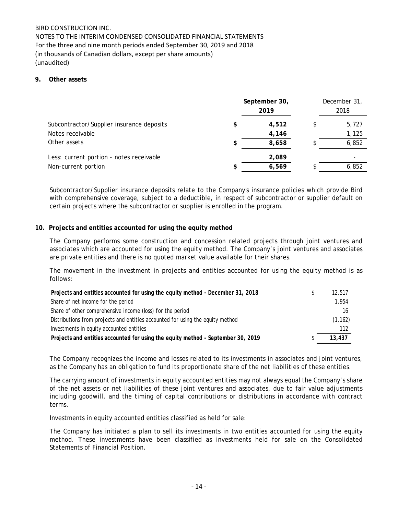NOTES TO THE INTERIM CONDENSED CONSOLIDATED FINANCIAL STATEMENTS For the three and nine month periods ended September 30, 2019 and 2018 (in thousands of Canadian dollars, except per share amounts) (unaudited)

## **9. Other assets**

|                                           | September 30,<br>2019 |  |       |
|-------------------------------------------|-----------------------|--|-------|
| Subcontractor/Supplier insurance deposits | 4,512                 |  | 5,727 |
| Notes receivable                          | 4,146                 |  | 1,125 |
| Other assets                              | 8,658                 |  | 6,852 |
| Less: current portion - notes receivable  | 2,089                 |  |       |
| Non-current portion                       | 6,569                 |  | 6,852 |

Subcontractor/Supplier insurance deposits relate to the Company's insurance policies which provide Bird with comprehensive coverage, subject to a deductible, in respect of subcontractor or supplier default on certain projects where the subcontractor or supplier is enrolled in the program.

## **10. Projects and entities accounted for using the equity method**

The Company performs some construction and concession related projects through joint ventures and associates which are accounted for using the equity method. The Company's joint ventures and associates are private entities and there is no quoted market value available for their shares.

The movement in the investment in projects and entities accounted for using the equity method is as follows:

| Projects and entities accounted for using the equity method - December 31, 2018  |  |          |  |  |  |
|----------------------------------------------------------------------------------|--|----------|--|--|--|
| Share of net income for the period                                               |  | 1.954    |  |  |  |
| Share of other comprehensive income (loss) for the period                        |  | 16       |  |  |  |
| Distributions from projects and entities accounted for using the equity method   |  | (1, 162) |  |  |  |
| Investments in equity accounted entities                                         |  | 112      |  |  |  |
| Projects and entities accounted for using the equity method - September 30, 2019 |  | 13,437   |  |  |  |

The Company recognizes the income and losses related to its investments in associates and joint ventures, as the Company has an obligation to fund its proportionate share of the net liabilities of these entities.

The carrying amount of investments in equity accounted entities may not always equal the Company's share of the net assets or net liabilities of these joint ventures and associates, due to fair value adjustments including goodwill, and the timing of capital contributions or distributions in accordance with contract terms.

Investments in equity accounted entities classified as held for sale:

The Company has initiated a plan to sell its investments in two entities accounted for using the equity method. These investments have been classified as investments held for sale on the Consolidated Statements of Financial Position.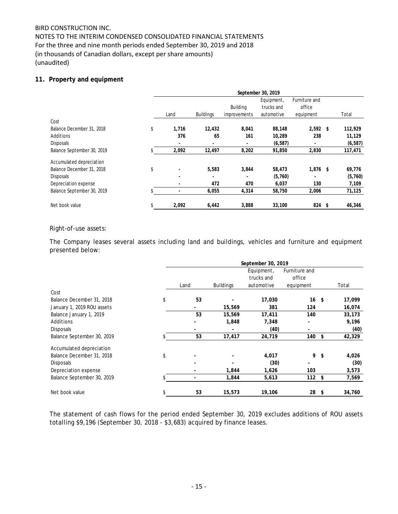## NOTES TO THE INTERIM CONDENSED CONSOLIDATED FINANCIAL STATEMENTS For the three and nine month periods ended September 30, 2019 and 2018 (in thousands of Canadian dollars, except per share amounts) (unaudited)

## **11. Property and equipment**

|                            | September 30, 2019 |       |                  |                          |                                        |                                      |  |          |  |
|----------------------------|--------------------|-------|------------------|--------------------------|----------------------------------------|--------------------------------------|--|----------|--|
|                            |                    | Land  | <b>Buildings</b> | Building<br>improvements | Equipment,<br>trucks and<br>automotive | Furniture and<br>office<br>equipment |  | Total    |  |
| Cost                       |                    |       |                  |                          |                                        |                                      |  |          |  |
| Balance December 31, 2018  | \$                 | 1,716 | 12,432           | 8,041                    | 88,148                                 | $2,592$ \$                           |  | 112,929  |  |
| Additions                  |                    | 376   | 65               | 161                      | 10,289                                 | 238                                  |  | 11,129   |  |
| Disposals                  |                    |       |                  |                          | (6, 587)                               |                                      |  | (6, 587) |  |
| Balance September 30, 2019 |                    | 2,092 | 12,497           | 8,202                    | 91,850                                 | 2,830                                |  | 117,471  |  |
| Accumulated depreciation   |                    |       |                  |                          |                                        |                                      |  |          |  |
| Balance December 31, 2018  | \$                 |       | 5,583            | 3,844                    | 58,473                                 | $1,876$ \$                           |  | 69,776   |  |
| Disposals                  |                    |       |                  |                          | (5,760)                                |                                      |  | (5,760)  |  |
| Depreciation expense       |                    |       | 472              | 470                      | 6,037                                  | 130                                  |  | 7,109    |  |
| Balance September 30, 2019 |                    |       | 6,055            | 4,314                    | 58,750                                 | 2,006                                |  | 71,125   |  |
| Net book value             | \$                 | 2,092 | 6,442            | 3,888                    | 33,100                                 | 824 \$                               |  | 46,346   |  |

## Right-of-use assets:

The Company leases several assets including land and buildings, vehicles and furniture and equipment presented below:

|                            | September 30, 2019 |      |                  |            |               |      |        |
|----------------------------|--------------------|------|------------------|------------|---------------|------|--------|
|                            |                    |      |                  | Equipment, | Furniture and |      |        |
|                            |                    |      |                  | trucks and | office        |      |        |
|                            |                    | Land | <b>Buildings</b> | automotive | equipment     |      | Total  |
| Cost                       |                    |      |                  |            |               |      |        |
| Balance December 31, 2018  | \$                 | 53   |                  | 17,030     | $16 \quad$ \$ |      | 17,099 |
| January 1, 2019 ROU assets |                    |      | 15,569           | 381        | 124           |      | 16,074 |
| Balance January 1, 2019    |                    | 53   | 15,569           | 17,411     | 140           |      | 33,173 |
| Additions                  |                    |      | 1,848            | 7,348      |               |      | 9,196  |
| <b>Disposals</b>           |                    |      |                  | (40)       |               |      | (40)   |
| Balance September 30, 2019 |                    | 53   | 17,417           | 24,719     | 140           | \$   | 42,329 |
| Accumulated depreciation   |                    |      |                  |            |               |      |        |
| Balance December 31, 2018  | \$                 |      |                  | 4,017      | 9             | \$   | 4,026  |
| <b>Disposals</b>           |                    |      |                  | (30)       |               |      | (30)   |
| Depreciation expense       |                    |      | 1,844            | 1,626      | 103           |      | 3,573  |
| Balance September 30, 2019 |                    |      | 1,844            | 5,613      | 112           | \$   | 7,569  |
| Net book value             |                    | 53   | 15,573           | 19,106     | 28            | - \$ | 34,760 |

The statement of cash flows for the period ended September 30, 2019 excludes additions of ROU assets totalling \$9,196 (September 30, 2018 - \$3,683) acquired by finance leases.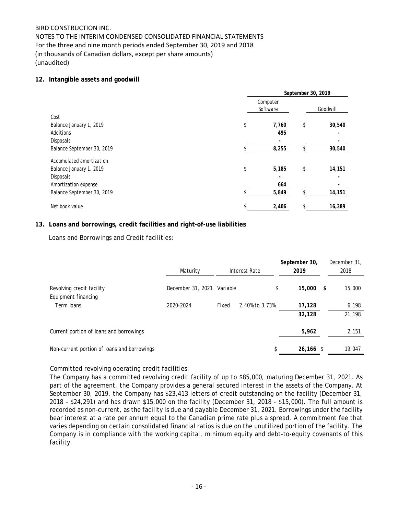# NOTES TO THE INTERIM CONDENSED CONSOLIDATED FINANCIAL STATEMENTS For the three and nine month periods ended September 30, 2019 and 2018 (in thousands of Canadian dollars, except per share amounts) (unaudited)

## **12. Intangible assets and goodwill**

|                            | September 30, 2019 |                      |    |          |  |  |
|----------------------------|--------------------|----------------------|----|----------|--|--|
|                            |                    | Computer<br>Software |    | Goodwill |  |  |
| Cost                       |                    |                      |    |          |  |  |
| Balance January 1, 2019    | \$                 | 7,760                | \$ | 30,540   |  |  |
| Additions                  |                    | 495                  |    |          |  |  |
| Disposals                  |                    |                      |    |          |  |  |
| Balance September 30, 2019 |                    | 8,255                |    | 30,540   |  |  |
| Accumulated amortization   |                    |                      |    |          |  |  |
| Balance January 1, 2019    | \$                 | 5,185                | \$ | 14,151   |  |  |
| Disposals                  |                    |                      |    |          |  |  |
| Amortization expense       |                    | 664                  |    |          |  |  |
| Balance September 30, 2019 |                    | 5,849                |    | 14,151   |  |  |
| Net book value             | \$                 | 2,406                |    | 16,389   |  |  |

## **13. Loans and borrowings, credit facilities and right-of-use liabilities**

Loans and Borrowings and Credit facilities:

|                                             | Maturity          | Interest Rate           | September 30,<br>2019 | December 31,<br>2018 |
|---------------------------------------------|-------------------|-------------------------|-----------------------|----------------------|
| Revolving credit facility                   | December 31, 2021 | Variable                | 15,000<br>\$          | \$<br>15,000         |
| Equipment financing<br>Term loans           | 2020-2024         | 2.40% to 3.73%<br>Fixed | 17,128<br>32,128      | 6,198<br>21,198      |
| Current portion of loans and borrowings     |                   |                         | 5,962                 | 2,151                |
| Non-current portion of loans and borrowings |                   |                         | \$<br>$26,166$ \$     | 19,047               |

## Committed revolving operating credit facilities:

The Company has a committed revolving credit facility of up to \$85,000, maturing December 31, 2021. As part of the agreement, the Company provides a general secured interest in the assets of the Company. At September 30, 2019, the Company has \$23,413 letters of credit outstanding on the facility (December 31, 2018 – \$24,291) and has drawn \$15,000 on the facility (December 31, 2018 - \$15,000). The full amount is recorded as non-current, as the facility is due and payable December 31, 2021. Borrowings under the facility bear interest at a rate per annum equal to the Canadian prime rate plus a spread. A commitment fee that varies depending on certain consolidated financial ratios is due on the unutilized portion of the facility. The Company is in compliance with the working capital, minimum equity and debt-to-equity covenants of this facility.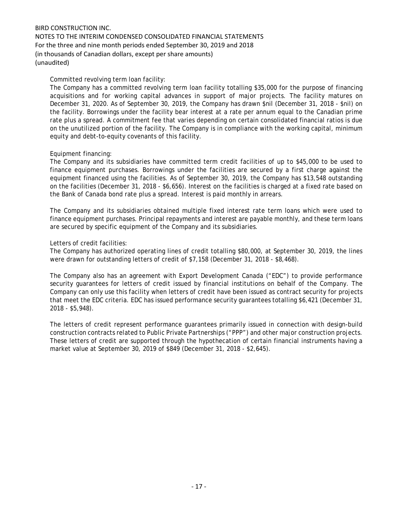NOTES TO THE INTERIM CONDENSED CONSOLIDATED FINANCIAL STATEMENTS For the three and nine month periods ended September 30, 2019 and 2018 (in thousands of Canadian dollars, except per share amounts) (unaudited)

## Committed revolving term loan facility:

The Company has a committed revolving term loan facility totalling \$35,000 for the purpose of financing acquisitions and for working capital advances in support of major projects. The facility matures on December 31, 2020. As of September 30, 2019, the Company has drawn \$nil (December 31, 2018 - \$nil) on the facility. Borrowings under the facility bear interest at a rate per annum equal to the Canadian prime rate plus a spread. A commitment fee that varies depending on certain consolidated financial ratios is due on the unutilized portion of the facility. The Company is in compliance with the working capital, minimum equity and debt-to-equity covenants of this facility.

## Equipment financing:

The Company and its subsidiaries have committed term credit facilities of up to \$45,000 to be used to finance equipment purchases. Borrowings under the facilities are secured by a first charge against the equipment financed using the facilities. As of September 30, 2019, the Company has \$13,548 outstanding on the facilities (December 31, 2018 - \$6,656). Interest on the facilities is charged at a fixed rate based on the Bank of Canada bond rate plus a spread. Interest is paid monthly in arrears.

The Company and its subsidiaries obtained multiple fixed interest rate term loans which were used to finance equipment purchases. Principal repayments and interest are payable monthly, and these term loans are secured by specific equipment of the Company and its subsidiaries.

## Letters of credit facilities:

The Company has authorized operating lines of credit totalling \$80,000, at September 30, 2019, the lines were drawn for outstanding letters of credit of \$7,158 (December 31, 2018 - \$8,468).

The Company also has an agreement with Export Development Canada ("EDC") to provide performance security guarantees for letters of credit issued by financial institutions on behalf of the Company. The Company can only use this facility when letters of credit have been issued as contract security for projects that meet the EDC criteria. EDC has issued performance security guarantees totalling \$6,421 (December 31, 2018 - \$5,948).

The letters of credit represent performance guarantees primarily issued in connection with design-build construction contracts related to Public Private Partnerships ("PPP") and other major construction projects. These letters of credit are supported through the hypothecation of certain financial instruments having a market value at September 30, 2019 of \$849 (December 31, 2018 - \$2,645).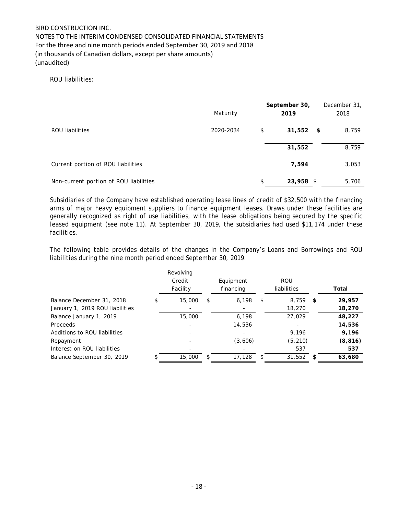NOTES TO THE INTERIM CONDENSED CONSOLIDATED FINANCIAL STATEMENTS For the three and nine month periods ended September 30, 2019 and 2018 (in thousands of Canadian dollars, except per share amounts) (unaudited)

## ROU liabilities:

|                                        | Maturity  | September 30,<br>2019 | December 31,<br>2018 |
|----------------------------------------|-----------|-----------------------|----------------------|
| ROU liabilities                        | 2020-2034 | \$<br>$31,552$ \$     | 8,759                |
|                                        |           | 31,552                | 8,759                |
| Current portion of ROU liabilities     |           | 7,594                 | 3,053                |
| Non-current portion of ROU liabilities |           | \$<br>23,958 \$       | 5,706                |

Subsidiaries of the Company have established operating lease lines of credit of \$32,500 with the financing arms of major heavy equipment suppliers to finance equipment leases. Draws under these facilities are generally recognized as right of use liabilities, with the lease obligations being secured by the specific leased equipment (see note 11). At September 30, 2019, the subsidiaries had used \$11,174 under these facilities.

The following table provides details of the changes in the Company's Loans and Borrowings and ROU liabilities during the nine month period ended September 30, 2019.

|                                 | Revolving<br>Credit<br>Facility | Equipment<br>financing   | <b>ROU</b><br>liabilities |     | Total    |
|---------------------------------|---------------------------------|--------------------------|---------------------------|-----|----------|
| Balance December 31, 2018       | \$<br>15,000                    | \$<br>6,198              | \$<br>8,759               | \$  | 29,957   |
| January 1, 2019 ROU liabilities |                                 | $\overline{\phantom{a}}$ | 18,270                    |     | 18,270   |
| Balance January 1, 2019         | 15,000                          | 6,198                    | 27,029                    |     | 48,227   |
| Proceeds                        |                                 | 14,536                   |                           |     | 14,536   |
| Additions to ROU liabilities    |                                 |                          | 9.196                     |     | 9,196    |
| Repayment                       |                                 | (3,606)                  | (5, 210)                  |     | (8, 816) |
| Interest on ROU liabilities     |                                 |                          | 537                       |     | 537      |
| Balance September 30, 2019      | 15,000                          | \$<br>17,128             | \$<br>31,552              | -SS | 63,680   |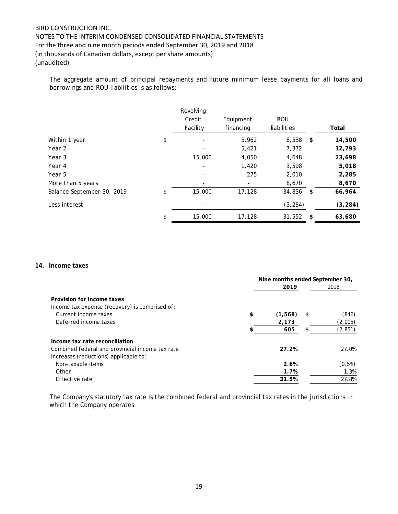The aggregate amount of principal repayments and future minimum lease payments for all loans and borrowings and ROU liabilities is as follows:

|                            | Revolving    |           |             |            |          |
|----------------------------|--------------|-----------|-------------|------------|----------|
|                            | Credit       | Equipment | <b>ROU</b>  |            |          |
|                            | Facility     | financing | liabilities |            | Total    |
| Within 1 year              | \$           | 5,962     | 8,538       | $^{\circ}$ | 14,500   |
| Year 2                     |              | 5,421     | 7,372       |            | 12,793   |
| Year 3                     | 15,000       | 4,050     | 4,648       |            | 23,698   |
| Year 4                     | ۰            | 1,420     | 3,598       |            | 5,018    |
| Year 5                     |              | 275       | 2,010       |            | 2,285    |
| More than 5 years          |              | -         | 8,670       |            | 8,670    |
| Balance September 30, 2019 | \$<br>15,000 | 17,128    | 34,836      | -\$        | 66,964   |
| Less interest              |              |           | (3, 284)    |            | (3, 284) |
|                            | \$<br>15,000 | 17,128    | 31,552      | -\$        | 63,680   |

### **14. Income taxes**

|                                                 | Nine months ended September 30,<br>2019<br>\$<br>(1,568)<br>\$<br>2,173<br>605<br>\$<br>27.2% |  |           |
|-------------------------------------------------|-----------------------------------------------------------------------------------------------|--|-----------|
|                                                 |                                                                                               |  | 2018      |
| Provision for income taxes                      |                                                                                               |  |           |
| Income tax expense (recovery) is comprised of:  |                                                                                               |  |           |
| Current income taxes                            |                                                                                               |  | (846)     |
| Deferred income taxes                           |                                                                                               |  | (2,005)   |
|                                                 |                                                                                               |  | (2, 851)  |
| Income tax rate reconciliation                  |                                                                                               |  |           |
| Combined federal and provincial income tax rate |                                                                                               |  | 27.0%     |
| Increases (reductions) applicable to:           |                                                                                               |  |           |
| Non-taxable items                               | 2.6%                                                                                          |  | $(0.5\%)$ |
| Other                                           | 1.7%                                                                                          |  | 1.3%      |
| Effective rate                                  | 31.5%                                                                                         |  | 27.8%     |
|                                                 |                                                                                               |  |           |

The Company's statutory tax rate is the combined federal and provincial tax rates in the jurisdictions in which the Company operates.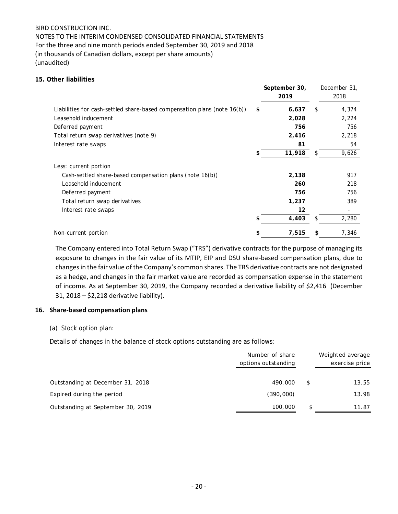NOTES TO THE INTERIM CONDENSED CONSOLIDATED FINANCIAL STATEMENTS For the three and nine month periods ended September 30, 2019 and 2018 (in thousands of Canadian dollars, except per share amounts) (unaudited)

## **15. Other liabilities**

|                                                                          | September 30,<br>2019 |    | December 31,<br>2018 |
|--------------------------------------------------------------------------|-----------------------|----|----------------------|
| Liabilities for cash-settled share-based compensation plans (note 16(b)) | \$<br>6,637           | \$ | 4,374                |
| Leasehold inducement                                                     | 2,028                 |    | 2,224                |
| Deferred payment                                                         | 756                   |    | 756                  |
| Total return swap derivatives (note 9)                                   | 2,416                 |    | 2,218                |
| Interest rate swaps                                                      | 81                    |    | 54                   |
|                                                                          | \$<br>11,918          | S  | 9,626                |
| Less: current portion                                                    |                       |    |                      |
| Cash-settled share-based compensation plans (note 16(b))                 | 2,138                 |    | 917                  |
| Leasehold inducement                                                     | 260                   |    | 218                  |
| Deferred payment                                                         | 756                   |    | 756                  |
| Total return swap derivatives                                            | 1,237                 |    | 389                  |
| Interest rate swaps                                                      | 12                    |    |                      |
|                                                                          | \$<br>4,403           | S  | 2,280                |
| Non-current portion                                                      | \$<br>7,515           | \$ | 7,346                |

The Company entered into Total Return Swap ("TRS") derivative contracts for the purpose of managing its exposure to changes in the fair value of its MTIP, EIP and DSU share-based compensation plans, due to changes in the fair value of the Company's common shares. The TRS derivative contracts are not designated as a hedge, and changes in the fair market value are recorded as compensation expense in the statement of income. As at September 30, 2019, the Company recorded a derivative liability of \$2,416 (December 31, 2018 – \$2,218 derivative liability).

## **16. Share‐based compensation plans**

## (a) Stock option plan:

Details of changes in the balance of stock options outstanding are as follows:

|                                   | Number of share<br>options outstanding | Weighted average<br>exercise price |
|-----------------------------------|----------------------------------------|------------------------------------|
| Outstanding at December 31, 2018  | 490,000                                | \$<br>13.55                        |
| Expired during the period         | (390,000)                              | 13.98                              |
| Outstanding at September 30, 2019 | 100,000                                | \$<br>11.87                        |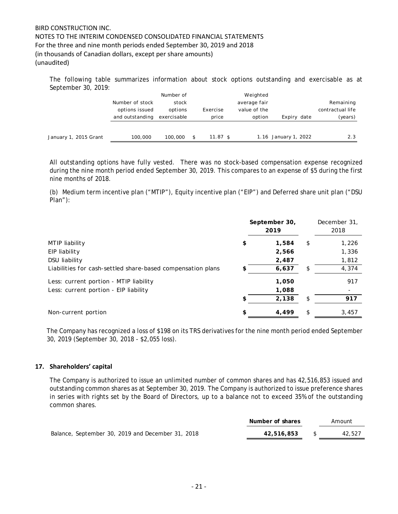The following table summarizes information about stock options outstanding and exercisable as at September 30, 2019:

|                       |                 | Number of   |     |                   | Weighted     |                      |                  |
|-----------------------|-----------------|-------------|-----|-------------------|--------------|----------------------|------------------|
|                       | Number of stock | stock       |     |                   | average fair |                      | Remaining        |
|                       | options issued  | options     |     | Exercise          | value of the |                      | contractual life |
|                       | and outstanding | exercisable |     | price             | option       | Expiry date          | (years)          |
|                       |                 |             |     |                   |              |                      |                  |
| January 1, 2015 Grant | 100,000         | 100,000     | \$. | $11.87 \text{ s}$ |              | 1.16 January 1, 2022 | 2.3              |

All outstanding options have fully vested. There was no stock-based compensation expense recognized during the nine month period ended September 30, 2019. This compares to an expense of \$5 during the first nine months of 2018.

(b) Medium term incentive plan ("MTIP"), Equity incentive plan ("EIP") and Deferred share unit plan ("DSU Plan"):

|                                                             | September 30,<br>2019 | December 31,<br>2018 |
|-------------------------------------------------------------|-----------------------|----------------------|
| MTIP liability                                              | \$<br>1,584           | \$<br>1,226          |
| EIP liability                                               | 2,566                 | 1,336                |
| DSU liability                                               | 2,487                 | 1,812                |
| Liabilities for cash-settled share-based compensation plans | 6,637                 | \$<br>4,374          |
| Less: current portion - MTIP liability                      | 1,050                 | 917                  |
| Less: current portion - EIP liability                       | 1,088                 |                      |
|                                                             | \$<br>2,138           | \$<br>917            |
| Non-current portion                                         | \$<br>4.499           | \$<br>3,457          |

The Company has recognized a loss of \$198 on its TRS derivatives for the nine month period ended September 30, 2019 (September 30, 2018 - \$2,055 loss).

## **17. Shareholders' capital**

The Company is authorized to issue an unlimited number of common shares and has 42,516,853 issued and outstanding common shares as at September 30, 2019. The Company is authorized to issue preference shares in series with rights set by the Board of Directors, up to a balance not to exceed 35% of the outstanding common shares.

|                                                   | Number of shares | Amount |
|---------------------------------------------------|------------------|--------|
| Balance, September 30, 2019 and December 31, 2018 | 42,516,853       | 42,527 |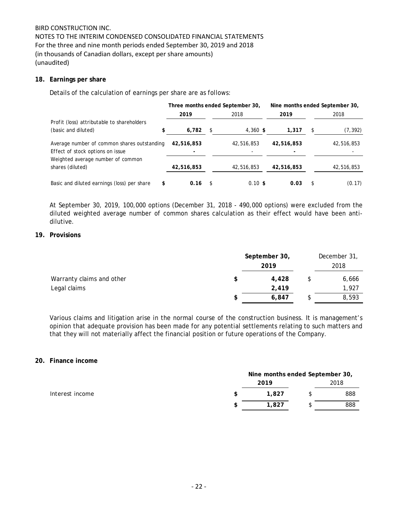NOTES TO THE INTERIM CONDENSED CONSOLIDATED FINANCIAL STATEMENTS For the three and nine month periods ended September 30, 2019 and 2018 (in thousands of Canadian dollars, except per share amounts) (unaudited)

## **18. Earnings per share**

Details of the calculation of earnings per share are as follows:

|                                                                                 | Three months ended September 30, |    |            |                 | Nine months ended September 30, |            |
|---------------------------------------------------------------------------------|----------------------------------|----|------------|-----------------|---------------------------------|------------|
|                                                                                 | 2019                             |    | 2018       | 2019            |                                 | 2018       |
| Profit (loss) attributable to shareholders                                      |                                  |    |            |                 |                                 |            |
| (basic and diluted)                                                             | 6,782                            | \$ | $4,360$ \$ | 1,317           |                                 | (7, 392)   |
| Average number of common shares outstanding<br>Effect of stock options on issue | 42,516,853<br>۰                  |    | 42,516,853 | 42,516,853<br>٠ |                                 | 42,516,853 |
| Weighted average number of common<br>shares (diluted)                           | 42,516,853                       |    | 42,516,853 | 42,516,853      |                                 | 42,516,853 |
| Basic and diluted earnings (loss) per share<br>S                                | 0.16                             | S. | $0.10$ \$  | 0.03            |                                 | (0.17)     |

At September 30, 2019, 100,000 options (December 31, 2018 - 490,000 options) were excluded from the diluted weighted average number of common shares calculation as their effect would have been antidilutive.

### **19. Provisions**

|                           |   | September 30,<br>2019 | December 31,<br>2018 |  |
|---------------------------|---|-----------------------|----------------------|--|
| Warranty claims and other |   | 4,428                 | 6,666                |  |
| Legal claims              |   | 2,419                 | 1,927                |  |
|                           | S | 6,847                 | 8,593                |  |

Various claims and litigation arise in the normal course of the construction business. It is management's opinion that adequate provision has been made for any potential settlements relating to such matters and that they will not materially affect the financial position or future operations of the Company.

## **20. Finance income**

|                 | Nine months ended September 30, |  |      |  |  |
|-----------------|---------------------------------|--|------|--|--|
|                 | 2019                            |  | 2018 |  |  |
| Interest income | 1.827                           |  | 888  |  |  |
|                 | 1.827                           |  | 888  |  |  |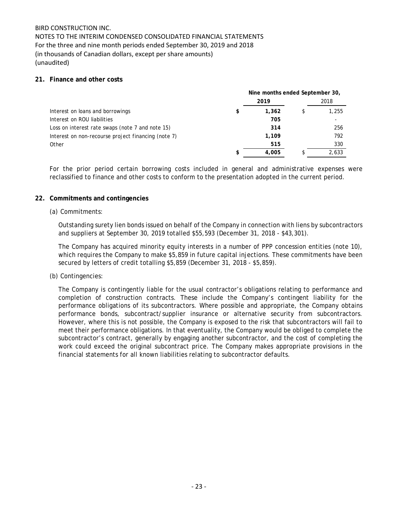NOTES TO THE INTERIM CONDENSED CONSOLIDATED FINANCIAL STATEMENTS For the three and nine month periods ended September 30, 2019 and 2018 (in thousands of Canadian dollars, except per share amounts) (unaudited)

## **21. Finance and other costs**

|                                                     |    | Nine months ended September 30, |       |
|-----------------------------------------------------|----|---------------------------------|-------|
|                                                     |    | 2019                            | 2018  |
| Interest on loans and borrowings                    | \$ | 1,362                           | 1,255 |
| Interest on ROU liabilities                         |    | 705                             |       |
| Loss on interest rate swaps (note 7 and note 15)    |    | 314                             | 256   |
| Interest on non-recourse project financing (note 7) |    | 1.109                           | 792   |
| Other                                               |    | 515                             | 330   |
|                                                     | \$ | 4.005                           | 2,633 |

For the prior period certain borrowing costs included in general and administrative expenses were reclassified to finance and other costs to conform to the presentation adopted in the current period.

## **22. Commitments and contingencies**

## (a) Commitments:

Outstanding surety lien bonds issued on behalf of the Company in connection with liens by subcontractors and suppliers at September 30, 2019 totalled \$55,593 (December 31, 2018 - \$43,301).

The Company has acquired minority equity interests in a number of PPP concession entities (note 10), which requires the Company to make \$5,859 in future capital injections. These commitments have been secured by letters of credit totalling \$5,859 (December 31, 2018 - \$5,859).

### (b) Contingencies:

The Company is contingently liable for the usual contractor's obligations relating to performance and completion of construction contracts. These include the Company's contingent liability for the performance obligations of its subcontractors. Where possible and appropriate, the Company obtains performance bonds, subcontract/supplier insurance or alternative security from subcontractors. However, where this is not possible, the Company is exposed to the risk that subcontractors will fail to meet their performance obligations. In that eventuality, the Company would be obliged to complete the subcontractor's contract, generally by engaging another subcontractor, and the cost of completing the work could exceed the original subcontract price. The Company makes appropriate provisions in the financial statements for all known liabilities relating to subcontractor defaults.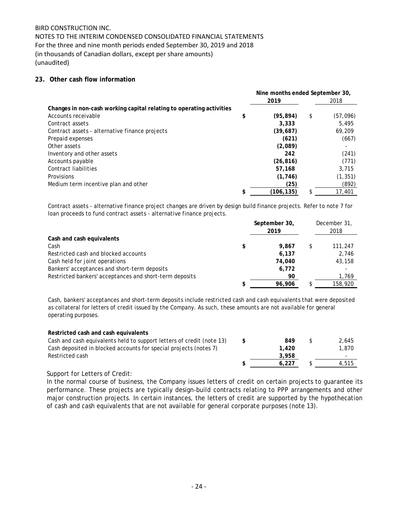NOTES TO THE INTERIM CONDENSED CONSOLIDATED FINANCIAL STATEMENTS For the three and nine month periods ended September 30, 2019 and 2018 (in thousands of Canadian dollars, except per share amounts) (unaudited)

## **23. Other cash flow information**

|                                                                      | Nine months ended September 30, |    |          |
|----------------------------------------------------------------------|---------------------------------|----|----------|
|                                                                      | 2019                            |    | 2018     |
| Changes in non-cash working capital relating to operating activities |                                 |    |          |
| Accounts receivable                                                  | \$<br>(95, 894)                 | \$ | (57,096) |
| Contract assets                                                      | 3.333                           |    | 5.495    |
| Contract assets - alternative finance projects                       | (39,687)                        |    | 69,209   |
| Prepaid expenses                                                     | (621)                           |    | (667)    |
| Other assets                                                         | (2,089)                         |    |          |
| Inventory and other assets                                           | 242                             |    | (241)    |
| Accounts payable                                                     | (26, 816)                       |    | (771)    |
| Contract liabilities                                                 | 57.168                          |    | 3.715    |
| Provisions                                                           | (1, 746)                        |    | (1, 351) |
| Medium term incentive plan and other                                 | (25)                            |    | (892)    |
|                                                                      | \$<br>(106,135)                 | \$ | 17,401   |

Contract assets - alternative finance project changes are driven by design build finance projects. Refer to note 7 for loan proceeds to fund contract assets - alternative finance projects.

|                                                         | September 30,<br>2019 | December 31,<br>2018 |
|---------------------------------------------------------|-----------------------|----------------------|
| Cash and cash equivalents                               |                       |                      |
| Cash                                                    | \$<br>9.867           | 111,247              |
| Restricted cash and blocked accounts                    | 6,137                 | 2,746                |
| Cash held for joint operations                          | 74.040                | 43,158               |
| Bankers' acceptances and short-term deposits            | 6,772                 |                      |
| Restricted bankers' acceptances and short-term deposits | 90                    | 1,769                |
|                                                         | 96.906                | 158,920              |

Cash, bankers' acceptances and short-term deposits include restricted cash and cash equivalents that were deposited as collateral for letters of credit issued by the Company. As such, these amounts are not available for general operating purposes.

| Restricted cash and cash equivalents                                  |    |       |       |
|-----------------------------------------------------------------------|----|-------|-------|
| Cash and cash equivalents held to support letters of credit (note 13) | £. | 849   | 2.645 |
| Cash deposited in blocked accounts for special projects (notes 7)     |    | 1,420 | 1,870 |
| Restricted cash                                                       |    | 3.958 |       |
|                                                                       |    | 6.227 | 4,515 |

## Support for Letters of Credit:

In the normal course of business, the Company issues letters of credit on certain projects to guarantee its performance. These projects are typically design-build contracts relating to PPP arrangements and other major construction projects. In certain instances, the letters of credit are supported by the hypothecation of cash and cash equivalents that are not available for general corporate purposes (note 13).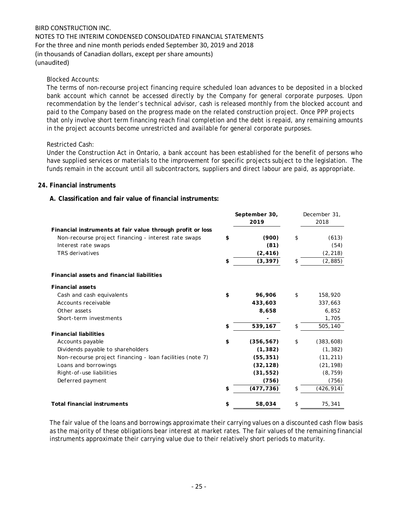NOTES TO THE INTERIM CONDENSED CONSOLIDATED FINANCIAL STATEMENTS For the three and nine month periods ended September 30, 2019 and 2018 (in thousands of Canadian dollars, except per share amounts) (unaudited)

### Blocked Accounts:

The terms of non-recourse project financing require scheduled loan advances to be deposited in a blocked bank account which cannot be accessed directly by the Company for general corporate purposes. Upon recommendation by the lender's technical advisor, cash is released monthly from the blocked account and paid to the Company based on the progress made on the related construction project. Once PPP projects that only involve short term financing reach final completion and the debt is repaid, any remaining amounts in the project accounts become unrestricted and available for general corporate purposes.

## Restricted Cash:

Under the Construction Act in Ontario, a bank account has been established for the benefit of persons who have supplied services or materials to the improvement for specific projects subject to the legislation. The funds remain in the account until all subcontractors, suppliers and direct labour are paid, as appropriate.

## **24. Financial instruments**

## **A. Classification and fair value of financial instruments:**

|                                                            | September 30,<br>2019 | December 31,<br>2018 |  |
|------------------------------------------------------------|-----------------------|----------------------|--|
| Financial instruments at fair value through profit or loss |                       |                      |  |
| Non-recourse project financing - interest rate swaps       | \$<br>(900)           | \$<br>(613)          |  |
| Interest rate swaps                                        | (81)                  | (54)                 |  |
| <b>TRS</b> derivatives                                     | (2, 416)              | (2, 218)             |  |
|                                                            | \$<br>(3, 397)        | \$<br>(2, 885)       |  |
| <b>Financial assets and financial liabilities</b>          |                       |                      |  |
| <b>Financial assets</b>                                    |                       |                      |  |
| Cash and cash equivalents                                  | \$<br>96,906          | \$<br>158,920        |  |
| Accounts receivable                                        | 433,603               | 337,663              |  |
| Other assets                                               | 8,658                 | 6,852                |  |
| Short-term investments                                     |                       | 1,705                |  |
|                                                            | \$<br>539,167         | \$<br>505,140        |  |
| <b>Financial liabilities</b>                               |                       |                      |  |
| Accounts payable                                           | \$<br>(356, 567)      | \$<br>(383, 608)     |  |
| Dividends payable to shareholders                          | (1, 382)              | (1, 382)             |  |
| Non-recourse project financing - loan facilities (note 7)  | (55, 351)             | (11, 211)            |  |
| Loans and borrowings                                       | (32, 128)             | (21, 198)            |  |
| Right-of-use liabilities                                   | (31, 552)             | (8, 759)             |  |
| Deferred payment                                           | (756)                 | (756)                |  |
|                                                            | \$<br>(477, 736)      | \$<br>(426, 914)     |  |
| <b>Total financial instruments</b>                         | \$<br>58,034          | \$<br>75,341         |  |

The fair value of the loans and borrowings approximate their carrying values on a discounted cash flow basis as the majority of these obligations bear interest at market rates. The fair values of the remaining financial instruments approximate their carrying value due to their relatively short periods to maturity.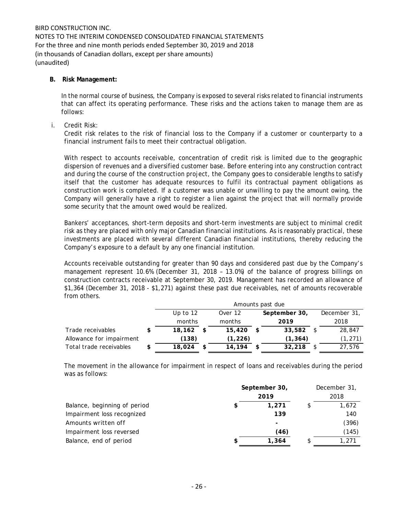## **B. Risk Management:**

In the normal course of business, the Company is exposed to several risks related to financial instruments that can affect its operating performance. These risks and the actions taken to manage them are as follows:

i. Credit Risk:

Credit risk relates to the risk of financial loss to the Company if a customer or counterparty to a financial instrument fails to meet their contractual obligation.

With respect to accounts receivable, concentration of credit risk is limited due to the geographic dispersion of revenues and a diversified customer base. Before entering into any construction contract and during the course of the construction project, the Company goes to considerable lengths to satisfy itself that the customer has adequate resources to fulfil its contractual payment obligations as construction work is completed. If a customer was unable or unwilling to pay the amount owing, the Company will generally have a right to register a lien against the project that will normally provide some security that the amount owed would be realized.

Bankers' acceptances, short-term deposits and short-term investments are subject to minimal credit risk as they are placed with only major Canadian financial institutions. As is reasonably practical, these investments are placed with several different Canadian financial institutions, thereby reducing the Company's exposure to a default by any one financial institution.

Accounts receivable outstanding for greater than 90 days and considered past due by the Company's management represent 10.6% (December 31, 2018 – 13.0%) of the balance of progress billings on construction contracts receivable at September 30, 2019. Management has recorded an allowance of \$1,364 (December 31, 2018 - \$1,271) against these past due receivables, net of amounts recoverable from others.

|                          | Amounts past due |  |          |      |               |  |              |  |
|--------------------------|------------------|--|----------|------|---------------|--|--------------|--|
|                          | Up to $12$       |  | Over 12  |      | September 30, |  | December 31, |  |
|                          | months           |  | months   |      | 2019          |  | 2018         |  |
| Trade receivables        | 18,162           |  | 15,420   | - \$ | 33,582        |  | 28,847       |  |
| Allowance for impairment | (138)            |  | (1, 226) |      | (1, 364)      |  | (1, 271)     |  |
| Total trade receivables  | 18,024           |  | 14,194   | -\$  | 32,218        |  | 27,576       |  |

The movement in the allowance for impairment in respect of loans and receivables during the period was as follows:

|                              | September 30, | December 31, |  |  |
|------------------------------|---------------|--------------|--|--|
|                              | 2019          | 2018         |  |  |
| Balance, beginning of period | 1.271         | 1,672        |  |  |
| Impairment loss recognized   | 139           | 140          |  |  |
| Amounts written off          |               | (396)        |  |  |
| Impairment loss reversed     | (46)          | (145)        |  |  |
| Balance, end of period       | 1,364         | 1,271        |  |  |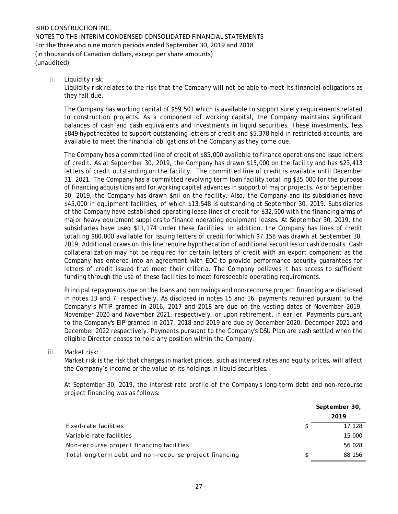ii. Liquidity risk:

Liquidity risk relates to the risk that the Company will not be able to meet its financial obligations as they fall due.

The Company has working capital of \$59,501 which is available to support surety requirements related to construction projects. As a component of working capital, the Company maintains significant balances of cash and cash equivalents and investments in liquid securities. These investments, less \$849 hypothecated to support outstanding letters of credit and \$5,378 held in restricted accounts, are available to meet the financial obligations of the Company as they come due.

The Company has a committed line of credit of \$85,000 available to finance operations and issue letters of credit. As at September 30, 2019, the Company has drawn \$15,000 on the facility and has \$23,413 letters of credit outstanding on the facility. The committed line of credit is available until December 31, 2021. The Company has a committed revolving term loan facility totalling \$35,000 for the purpose of financing acquisitions and for working capital advances in support of major projects. As of September 30, 2019, the Company has drawn \$nil on the facility. Also, the Company and its subsidiaries have \$45,000 in equipment facilities, of which \$13,548 is outstanding at September 30, 2019. Subsidiaries of the Company have established operating lease lines of credit for \$32,500 with the financing arms of major heavy equipment suppliers to finance operating equipment leases. At September 30, 2019, the subsidiaries have used \$11,174 under these facilities. In addition, the Company has lines of credit totalling \$80,000 available for issuing letters of credit for which \$7,158 was drawn at September 30, 2019. Additional draws on this line require hypothecation of additional securities or cash deposits. Cash collateralization may not be required for certain letters of credit with an export component as the Company has entered into an agreement with EDC to provide performance security guarantees for letters of credit issued that meet their criteria. The Company believes it has access to sufficient funding through the use of these facilities to meet foreseeable operating requirements.

Principal repayments due on the loans and borrowings and non-recourse project financing are disclosed in notes 13 and 7, respectively. As disclosed in notes 15 and 16, payments required pursuant to the Company's MTIP granted in 2016, 2017 and 2018 are due on the vesting dates of November 2019, November 2020 and November 2021, respectively, or upon retirement, if earlier. Payments pursuant to the Company's EIP granted in 2017, 2018 and 2019 are due by December 2020, December 2021 and December 2022 respectively. Payments pursuant to the Company's DSU Plan are cash settled when the eligible Director ceases to hold any position within the Company.

iii. Market risk:

Market risk is the risk that changes in market prices, such as interest rates and equity prices, will affect the Company's income or the value of its holdings in liquid securities.

At September 30, 2019, the interest rate profile of the Company's long-term debt and non-recourse project financing was as follows:

|                                                         |     | September 30, |
|---------------------------------------------------------|-----|---------------|
|                                                         |     | 2019          |
| Fixed-rate facilities                                   |     | 17,128        |
| Variable-rate facilities                                |     | 15,000        |
| Non-recourse project financing facilities               |     | 56,028        |
| Total long-term debt and non-recourse project financing | \$. | 88,156        |